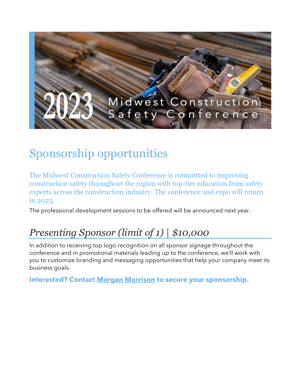

## Sponsorship opportunities

The Midwest Construction Safety Conference is committed to improving construction safety throughout the region with top-tier education from safety experts across the construction industry. The conference and expo will return in 2023.

The professional development sessions to be offered will be announced next year.

## *Presenting Sponsor (limit of 1) | \$10,000*

In addition to receiving top logo recognition on all sponsor signage throughout the conference and in promotional materials leading up to the conference, we'll work with you to customize branding and messaging opportunities that help your company meet its business goals.

**Interested? Contact [Morgan Morrison](mailto:mmorrison@buildersassociation.com?subject=MCSC%20sponsorship) to secure your sponsorship.**